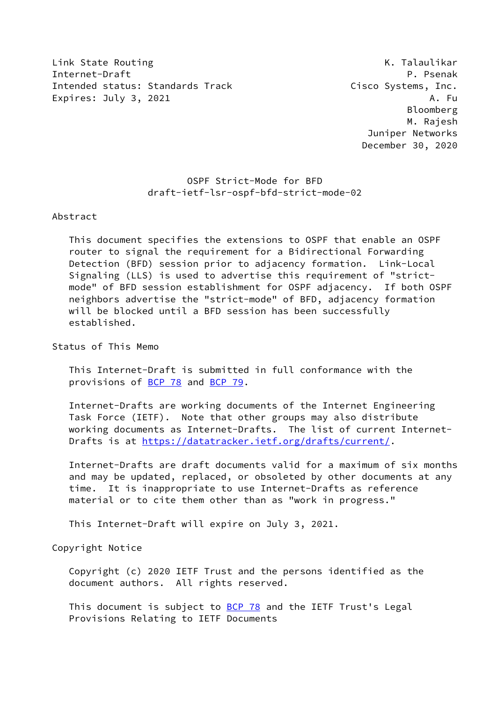Link State Routing The Communication of the Communication of the K. Talaulikar Internet-Draft P. Psenak Intended status: Standards Track Cisco Systems, Inc. Expires: July 3, 2021 A. Fu

 Bloomberg M. Rajesh Juniper Networks December 30, 2020

 OSPF Strict-Mode for BFD draft-ietf-lsr-ospf-bfd-strict-mode-02

## Abstract

 This document specifies the extensions to OSPF that enable an OSPF router to signal the requirement for a Bidirectional Forwarding Detection (BFD) session prior to adjacency formation. Link-Local Signaling (LLS) is used to advertise this requirement of "strict mode" of BFD session establishment for OSPF adjacency. If both OSPF neighbors advertise the "strict-mode" of BFD, adjacency formation will be blocked until a BFD session has been successfully established.

Status of This Memo

 This Internet-Draft is submitted in full conformance with the provisions of [BCP 78](https://datatracker.ietf.org/doc/pdf/bcp78) and [BCP 79](https://datatracker.ietf.org/doc/pdf/bcp79).

 Internet-Drafts are working documents of the Internet Engineering Task Force (IETF). Note that other groups may also distribute working documents as Internet-Drafts. The list of current Internet- Drafts is at<https://datatracker.ietf.org/drafts/current/>.

 Internet-Drafts are draft documents valid for a maximum of six months and may be updated, replaced, or obsoleted by other documents at any time. It is inappropriate to use Internet-Drafts as reference material or to cite them other than as "work in progress."

This Internet-Draft will expire on July 3, 2021.

Copyright Notice

 Copyright (c) 2020 IETF Trust and the persons identified as the document authors. All rights reserved.

This document is subject to [BCP 78](https://datatracker.ietf.org/doc/pdf/bcp78) and the IETF Trust's Legal Provisions Relating to IETF Documents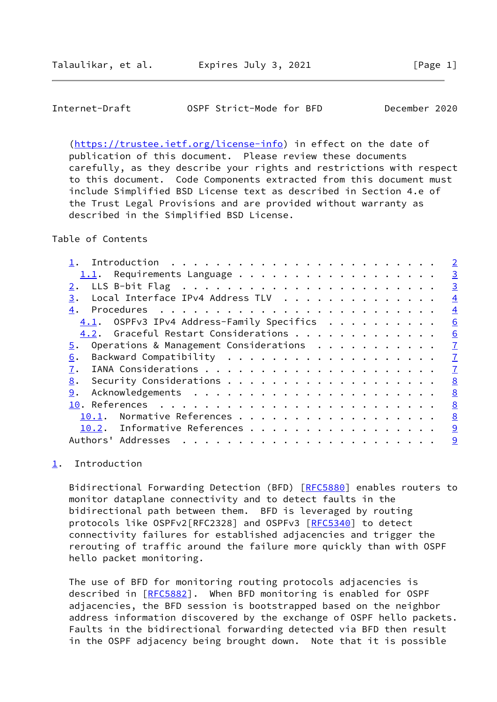## <span id="page-1-1"></span>Internet-Draft OSPF Strict-Mode for BFD December 2020

 [\(https://trustee.ietf.org/license-info](https://trustee.ietf.org/license-info)) in effect on the date of publication of this document. Please review these documents carefully, as they describe your rights and restrictions with respect to this document. Code Components extracted from this document must include Simplified BSD License text as described in Section 4.e of the Trust Legal Provisions and are provided without warranty as described in the Simplified BSD License.

Table of Contents

|                                              | $\overline{2}$ |
|----------------------------------------------|----------------|
| $1.1$ . Requirements Language                | $\overline{3}$ |
|                                              | $\overline{3}$ |
| Local Interface IPv4 Address TLV<br>3.       | $\overline{4}$ |
| 4.                                           | $\overline{4}$ |
| $4.1.$ OSPFv3 IPv4 Address-Family Specifics  | 6              |
| 4.2. Graceful Restart Considerations         | 6              |
| Operations & Management Considerations<br>5. | $\overline{1}$ |
| 6.                                           | $\overline{1}$ |
| 7.                                           | $\overline{1}$ |
| 8.                                           | 8              |
| 9.                                           | 8              |
|                                              | 8              |
| Normative References<br>10.1.                | 8              |
| 10.2. Informative References                 | 9              |
| Authors' Addresses<br>.                      | 9              |
|                                              |                |

<span id="page-1-0"></span>[1](#page-1-0). Introduction

Bidirectional Forwarding Detection (BFD) [\[RFC5880](https://datatracker.ietf.org/doc/pdf/rfc5880)] enables routers to monitor dataplane connectivity and to detect faults in the bidirectional path between them. BFD is leveraged by routing protocols like OSPFv2[RFC2328] and OSPFv3 [[RFC5340](https://datatracker.ietf.org/doc/pdf/rfc5340)] to detect connectivity failures for established adjacencies and trigger the rerouting of traffic around the failure more quickly than with OSPF hello packet monitoring.

 The use of BFD for monitoring routing protocols adjacencies is described in [\[RFC5882](https://datatracker.ietf.org/doc/pdf/rfc5882)]. When BFD monitoring is enabled for OSPF adjacencies, the BFD session is bootstrapped based on the neighbor address information discovered by the exchange of OSPF hello packets. Faults in the bidirectional forwarding detected via BFD then result in the OSPF adjacency being brought down. Note that it is possible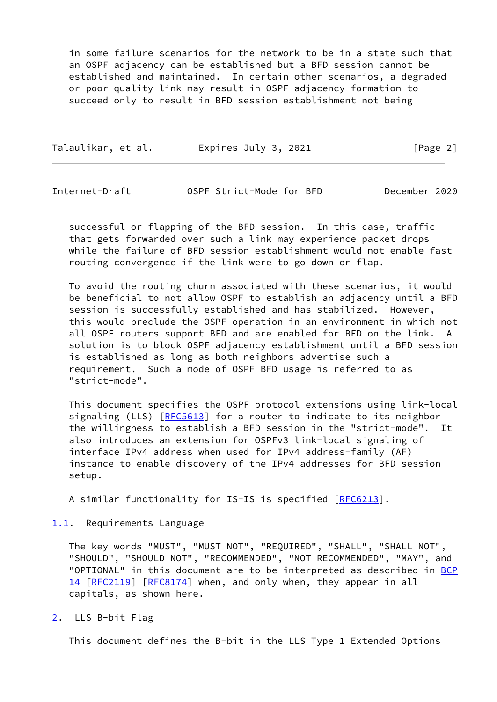in some failure scenarios for the network to be in a state such that an OSPF adjacency can be established but a BFD session cannot be established and maintained. In certain other scenarios, a degraded or poor quality link may result in OSPF adjacency formation to succeed only to result in BFD session establishment not being

| Talaulikar, et al. | Expires July 3, 2021 | [Page 2] |
|--------------------|----------------------|----------|
|--------------------|----------------------|----------|

<span id="page-2-1"></span>Internet-Draft OSPF Strict-Mode for BFD December 2020

 successful or flapping of the BFD session. In this case, traffic that gets forwarded over such a link may experience packet drops while the failure of BFD session establishment would not enable fast routing convergence if the link were to go down or flap.

 To avoid the routing churn associated with these scenarios, it would be beneficial to not allow OSPF to establish an adjacency until a BFD session is successfully established and has stabilized. However, this would preclude the OSPF operation in an environment in which not all OSPF routers support BFD and are enabled for BFD on the link. A solution is to block OSPF adjacency establishment until a BFD session is established as long as both neighbors advertise such a requirement. Such a mode of OSPF BFD usage is referred to as "strict-mode".

 This document specifies the OSPF protocol extensions using link-local signaling (LLS) [\[RFC5613](https://datatracker.ietf.org/doc/pdf/rfc5613)] for a router to indicate to its neighbor the willingness to establish a BFD session in the "strict-mode". It also introduces an extension for OSPFv3 link-local signaling of interface IPv4 address when used for IPv4 address-family (AF) instance to enable discovery of the IPv4 addresses for BFD session setup.

A similar functionality for IS-IS is specified [\[RFC6213](https://datatracker.ietf.org/doc/pdf/rfc6213)].

<span id="page-2-0"></span>[1.1](#page-2-0). Requirements Language

 The key words "MUST", "MUST NOT", "REQUIRED", "SHALL", "SHALL NOT", "SHOULD", "SHOULD NOT", "RECOMMENDED", "NOT RECOMMENDED", "MAY", and "OPTIONAL" in this document are to be interpreted as described in [BCP](https://datatracker.ietf.org/doc/pdf/bcp14) [14](https://datatracker.ietf.org/doc/pdf/bcp14) [[RFC2119\]](https://datatracker.ietf.org/doc/pdf/rfc2119) [\[RFC8174](https://datatracker.ietf.org/doc/pdf/rfc8174)] when, and only when, they appear in all capitals, as shown here.

<span id="page-2-2"></span>[2](#page-2-2). LLS B-bit Flag

This document defines the B-bit in the LLS Type 1 Extended Options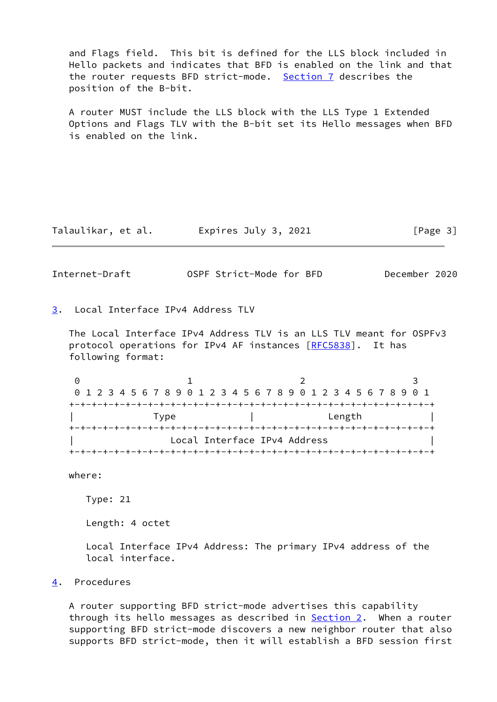and Flags field. This bit is defined for the LLS block included in Hello packets and indicates that BFD is enabled on the link and that the router requests BFD strict-mode. [Section 7](#page-7-1) describes the position of the B-bit.

 A router MUST include the LLS block with the LLS Type 1 Extended Options and Flags TLV with the B-bit set its Hello messages when BFD is enabled on the link.

Talaulikar, et al. Expires July 3, 2021 [Page 3]

<span id="page-3-1"></span>Internet-Draft OSPF Strict-Mode for BFD December 2020

<span id="page-3-0"></span>[3](#page-3-0). Local Interface IPv4 Address TLV

 The Local Interface IPv4 Address TLV is an LLS TLV meant for OSPFv3 protocol operations for IPv4 AF instances [[RFC5838](https://datatracker.ietf.org/doc/pdf/rfc5838)]. It has following format:

0 1 2 3 0 1 2 3 4 5 6 7 8 9 0 1 2 3 4 5 6 7 8 9 0 1 2 3 4 5 6 7 8 9 0 1 +-+-+-+-+-+-+-+-+-+-+-+-+-+-+-+-+-+-+-+-+-+-+-+-+-+-+-+-+-+-+-+-+ | Type | Length | +-+-+-+-+-+-+-+-+-+-+-+-+-+-+-+-+-+-+-+-+-+-+-+-+-+-+-+-+-+-+-+-+ Local Interface IPv4 Address +-+-+-+-+-+-+-+-+-+-+-+-+-+-+-+-+-+-+-+-+-+-+-+-+-+-+-+-+-+-+-+-+

where:

Type: 21

Length: 4 octet

 Local Interface IPv4 Address: The primary IPv4 address of the local interface.

<span id="page-3-2"></span>[4](#page-3-2). Procedures

 A router supporting BFD strict-mode advertises this capability through its hello messages as described in [Section 2.](#page-2-2) When a router supporting BFD strict-mode discovers a new neighbor router that also supports BFD strict-mode, then it will establish a BFD session first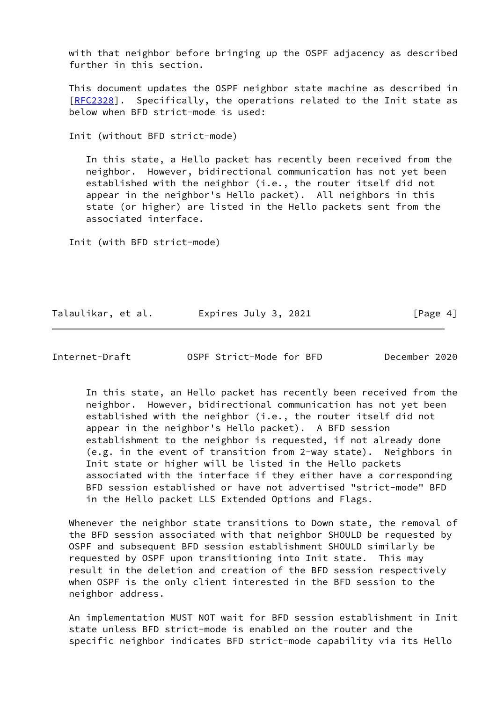with that neighbor before bringing up the OSPF adjacency as described further in this section.

 This document updates the OSPF neighbor state machine as described in [\[RFC2328](https://datatracker.ietf.org/doc/pdf/rfc2328)]. Specifically, the operations related to the Init state as below when BFD strict-mode is used:

Init (without BFD strict-mode)

 In this state, a Hello packet has recently been received from the neighbor. However, bidirectional communication has not yet been established with the neighbor (i.e., the router itself did not appear in the neighbor's Hello packet). All neighbors in this state (or higher) are listed in the Hello packets sent from the associated interface.

Init (with BFD strict-mode)

Talaulikar, et al. Expires July 3, 2021 [Page 4]

Internet-Draft OSPF Strict-Mode for BFD December 2020

 In this state, an Hello packet has recently been received from the neighbor. However, bidirectional communication has not yet been established with the neighbor (i.e., the router itself did not appear in the neighbor's Hello packet). A BFD session establishment to the neighbor is requested, if not already done (e.g. in the event of transition from 2-way state). Neighbors in Init state or higher will be listed in the Hello packets associated with the interface if they either have a corresponding BFD session established or have not advertised "strict-mode" BFD in the Hello packet LLS Extended Options and Flags.

 Whenever the neighbor state transitions to Down state, the removal of the BFD session associated with that neighbor SHOULD be requested by OSPF and subsequent BFD session establishment SHOULD similarly be requested by OSPF upon transitioning into Init state. This may result in the deletion and creation of the BFD session respectively when OSPF is the only client interested in the BFD session to the neighbor address.

 An implementation MUST NOT wait for BFD session establishment in Init state unless BFD strict-mode is enabled on the router and the specific neighbor indicates BFD strict-mode capability via its Hello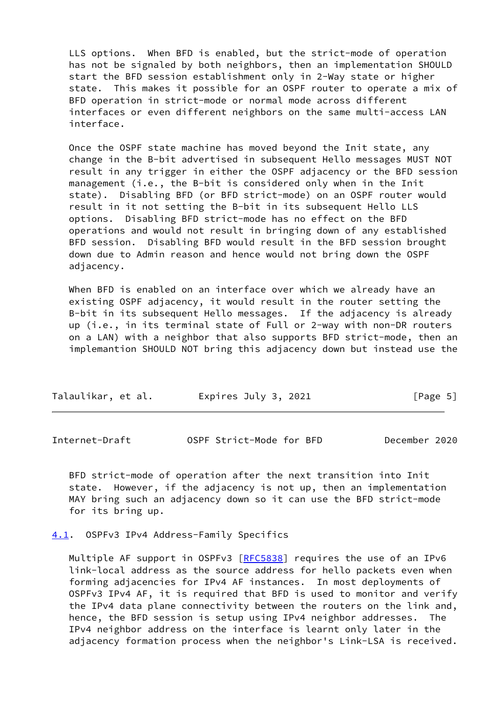LLS options. When BFD is enabled, but the strict-mode of operation has not be signaled by both neighbors, then an implementation SHOULD start the BFD session establishment only in 2-Way state or higher state. This makes it possible for an OSPF router to operate a mix of BFD operation in strict-mode or normal mode across different interfaces or even different neighbors on the same multi-access LAN interface.

 Once the OSPF state machine has moved beyond the Init state, any change in the B-bit advertised in subsequent Hello messages MUST NOT result in any trigger in either the OSPF adjacency or the BFD session management (i.e., the B-bit is considered only when in the Init state). Disabling BFD (or BFD strict-mode) on an OSPF router would result in it not setting the B-bit in its subsequent Hello LLS options. Disabling BFD strict-mode has no effect on the BFD operations and would not result in bringing down of any established BFD session. Disabling BFD would result in the BFD session brought down due to Admin reason and hence would not bring down the OSPF adjacency.

 When BFD is enabled on an interface over which we already have an existing OSPF adjacency, it would result in the router setting the B-bit in its subsequent Hello messages. If the adjacency is already up (i.e., in its terminal state of Full or 2-way with non-DR routers on a LAN) with a neighbor that also supports BFD strict-mode, then an implemantion SHOULD NOT bring this adjacency down but instead use the

| Talaulikar, et al. | Expires July 3, 2021 | [Page 5] |
|--------------------|----------------------|----------|
|--------------------|----------------------|----------|

<span id="page-5-1"></span>

| OSPF Strict-Mode for BFD<br>December 2020<br>Internet-Draft |  |
|-------------------------------------------------------------|--|
|-------------------------------------------------------------|--|

 BFD strict-mode of operation after the next transition into Init state. However, if the adjacency is not up, then an implementation MAY bring such an adjacency down so it can use the BFD strict-mode for its bring up.

<span id="page-5-0"></span>[4.1](#page-5-0). OSPFv3 IPv4 Address-Family Specifics

Multiple AF support in OSPFv3 [[RFC5838](https://datatracker.ietf.org/doc/pdf/rfc5838)] requires the use of an IPv6 link-local address as the source address for hello packets even when forming adjacencies for IPv4 AF instances. In most deployments of OSPFv3 IPv4 AF, it is required that BFD is used to monitor and verify the IPv4 data plane connectivity between the routers on the link and, hence, the BFD session is setup using IPv4 neighbor addresses. The IPv4 neighbor address on the interface is learnt only later in the adjacency formation process when the neighbor's Link-LSA is received.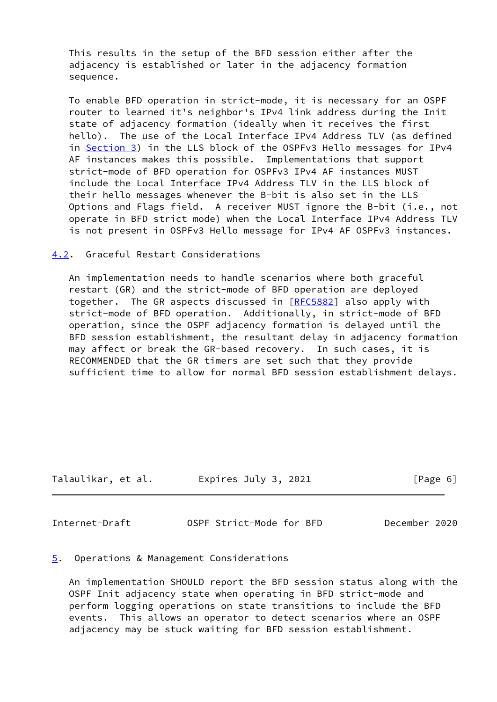This results in the setup of the BFD session either after the adjacency is established or later in the adjacency formation sequence.

 To enable BFD operation in strict-mode, it is necessary for an OSPF router to learned it's neighbor's IPv4 link address during the Init state of adjacency formation (ideally when it receives the first hello). The use of the Local Interface IPv4 Address TLV (as defined in [Section 3\)](#page-3-0) in the LLS block of the OSPFv3 Hello messages for IPv4 AF instances makes this possible. Implementations that support strict-mode of BFD operation for OSPFv3 IPv4 AF instances MUST include the Local Interface IPv4 Address TLV in the LLS block of their hello messages whenever the B-bit is also set in the LLS Options and Flags field. A receiver MUST ignore the B-bit (i.e., not operate in BFD strict mode) when the Local Interface IPv4 Address TLV is not present in OSPFv3 Hello message for IPv4 AF OSPFv3 instances.

<span id="page-6-0"></span>[4.2](#page-6-0). Graceful Restart Considerations

 An implementation needs to handle scenarios where both graceful restart (GR) and the strict-mode of BFD operation are deployed together. The GR aspects discussed in [\[RFC5882](https://datatracker.ietf.org/doc/pdf/rfc5882)] also apply with strict-mode of BFD operation. Additionally, in strict-mode of BFD operation, since the OSPF adjacency formation is delayed until the BFD session establishment, the resultant delay in adjacency formation may affect or break the GR-based recovery. In such cases, it is RECOMMENDED that the GR timers are set such that they provide sufficient time to allow for normal BFD session establishment delays.

| Talaulikar, et al. | Expires July 3, 2021 | [Page 6] |
|--------------------|----------------------|----------|
|                    |                      |          |

<span id="page-6-2"></span>Internet-Draft OSPF Strict-Mode for BFD December 2020

## <span id="page-6-1"></span>[5](#page-6-1). Operations & Management Considerations

 An implementation SHOULD report the BFD session status along with the OSPF Init adjacency state when operating in BFD strict-mode and perform logging operations on state transitions to include the BFD events. This allows an operator to detect scenarios where an OSPF adjacency may be stuck waiting for BFD session establishment.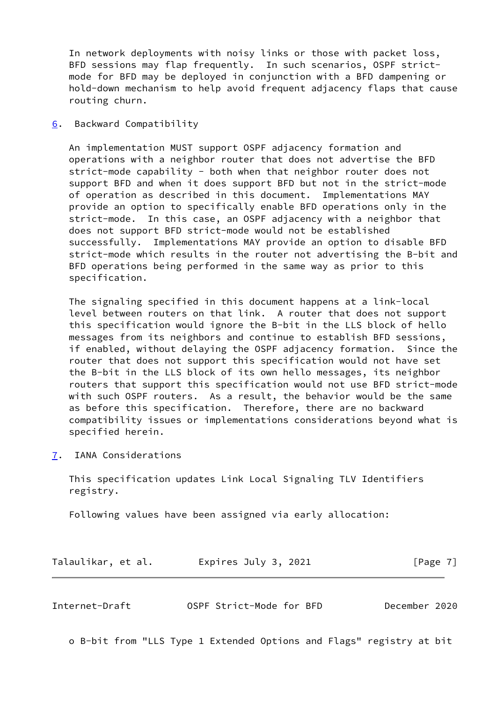In network deployments with noisy links or those with packet loss, BFD sessions may flap frequently. In such scenarios, OSPF strict mode for BFD may be deployed in conjunction with a BFD dampening or hold-down mechanism to help avoid frequent adjacency flaps that cause routing churn.

<span id="page-7-0"></span>[6](#page-7-0). Backward Compatibility

 An implementation MUST support OSPF adjacency formation and operations with a neighbor router that does not advertise the BFD strict-mode capability - both when that neighbor router does not support BFD and when it does support BFD but not in the strict-mode of operation as described in this document. Implementations MAY provide an option to specifically enable BFD operations only in the strict-mode. In this case, an OSPF adjacency with a neighbor that does not support BFD strict-mode would not be established successfully. Implementations MAY provide an option to disable BFD strict-mode which results in the router not advertising the B-bit and BFD operations being performed in the same way as prior to this specification.

 The signaling specified in this document happens at a link-local level between routers on that link. A router that does not support this specification would ignore the B-bit in the LLS block of hello messages from its neighbors and continue to establish BFD sessions, if enabled, without delaying the OSPF adjacency formation. Since the router that does not support this specification would not have set the B-bit in the LLS block of its own hello messages, its neighbor routers that support this specification would not use BFD strict-mode with such OSPF routers. As a result, the behavior would be the same as before this specification. Therefore, there are no backward compatibility issues or implementations considerations beyond what is specified herein.

<span id="page-7-1"></span>[7](#page-7-1). IANA Considerations

 This specification updates Link Local Signaling TLV Identifiers registry.

Following values have been assigned via early allocation:

| Talaulikar, et al. | Expires July 3, 2021 | [Page 7] |
|--------------------|----------------------|----------|
|--------------------|----------------------|----------|

<span id="page-7-2"></span>

| OSPF Strict-Mode for BFD<br>Internet-Draft | December 2020 |  |
|--------------------------------------------|---------------|--|
|--------------------------------------------|---------------|--|

o B-bit from "LLS Type 1 Extended Options and Flags" registry at bit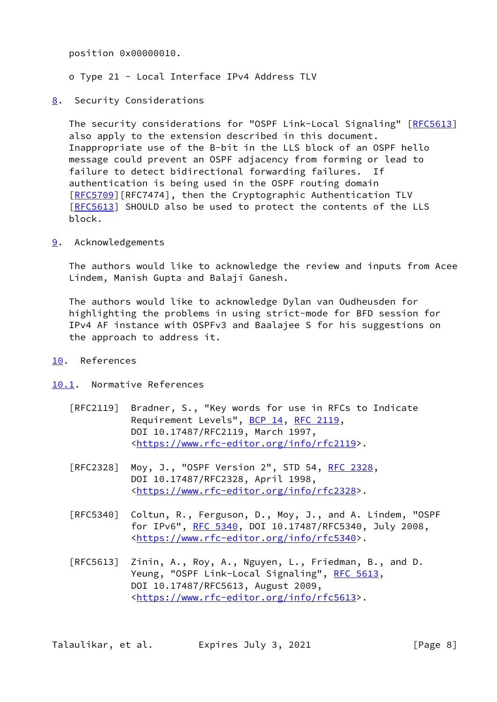position 0x00000010.

- o Type 21 Local Interface IPv4 Address TLV
- <span id="page-8-0"></span>[8](#page-8-0). Security Considerations

 The security considerations for "OSPF Link-Local Signaling" [\[RFC5613](https://datatracker.ietf.org/doc/pdf/rfc5613)] also apply to the extension described in this document. Inappropriate use of the B-bit in the LLS block of an OSPF hello message could prevent an OSPF adjacency from forming or lead to failure to detect bidirectional forwarding failures. If authentication is being used in the OSPF routing domain [\[RFC5709](https://datatracker.ietf.org/doc/pdf/rfc5709)][RFC7474], then the Cryptographic Authentication TLV [\[RFC5613](https://datatracker.ietf.org/doc/pdf/rfc5613)] SHOULD also be used to protect the contents of the LLS block.

<span id="page-8-1"></span>[9](#page-8-1). Acknowledgements

 The authors would like to acknowledge the review and inputs from Acee Lindem, Manish Gupta and Balaji Ganesh.

 The authors would like to acknowledge Dylan van Oudheusden for highlighting the problems in using strict-mode for BFD session for IPv4 AF instance with OSPFv3 and Baalajee S for his suggestions on the approach to address it.

- <span id="page-8-2"></span>[10.](#page-8-2) References
- <span id="page-8-3"></span>[10.1](#page-8-3). Normative References
	- [RFC2119] Bradner, S., "Key words for use in RFCs to Indicate Requirement Levels", [BCP 14](https://datatracker.ietf.org/doc/pdf/bcp14), [RFC 2119](https://datatracker.ietf.org/doc/pdf/rfc2119), DOI 10.17487/RFC2119, March 1997, <[https://www.rfc-editor.org/info/rfc2119>](https://www.rfc-editor.org/info/rfc2119).
	- [RFC2328] Moy, J., "OSPF Version 2", STD 54, [RFC 2328](https://datatracker.ietf.org/doc/pdf/rfc2328), DOI 10.17487/RFC2328, April 1998, <[https://www.rfc-editor.org/info/rfc2328>](https://www.rfc-editor.org/info/rfc2328).
	- [RFC5340] Coltun, R., Ferguson, D., Moy, J., and A. Lindem, "OSPF for IPv6", [RFC 5340](https://datatracker.ietf.org/doc/pdf/rfc5340), DOI 10.17487/RFC5340, July 2008, <[https://www.rfc-editor.org/info/rfc5340>](https://www.rfc-editor.org/info/rfc5340).
	- [RFC5613] Zinin, A., Roy, A., Nguyen, L., Friedman, B., and D. Yeung, "OSPF Link-Local Signaling", [RFC 5613,](https://datatracker.ietf.org/doc/pdf/rfc5613) DOI 10.17487/RFC5613, August 2009, <[https://www.rfc-editor.org/info/rfc5613>](https://www.rfc-editor.org/info/rfc5613).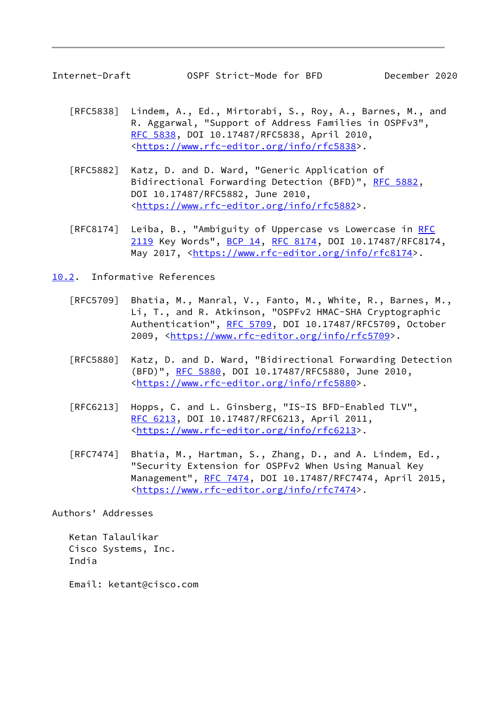<span id="page-9-1"></span>

- [RFC5838] Lindem, A., Ed., Mirtorabi, S., Roy, A., Barnes, M., and R. Aggarwal, "Support of Address Families in OSPFv3", [RFC 5838,](https://datatracker.ietf.org/doc/pdf/rfc5838) DOI 10.17487/RFC5838, April 2010, <[https://www.rfc-editor.org/info/rfc5838>](https://www.rfc-editor.org/info/rfc5838).
- [RFC5882] Katz, D. and D. Ward, "Generic Application of Bidirectional Forwarding Detection (BFD)", [RFC 5882](https://datatracker.ietf.org/doc/pdf/rfc5882), DOI 10.17487/RFC5882, June 2010, <[https://www.rfc-editor.org/info/rfc5882>](https://www.rfc-editor.org/info/rfc5882).
- [RFC8174] Leiba, B., "Ambiguity of Uppercase vs Lowercase in [RFC](https://datatracker.ietf.org/doc/pdf/rfc2119) [2119](https://datatracker.ietf.org/doc/pdf/rfc2119) Key Words", [BCP 14](https://datatracker.ietf.org/doc/pdf/bcp14), [RFC 8174,](https://datatracker.ietf.org/doc/pdf/rfc8174) DOI 10.17487/RFC8174, May 2017, [<https://www.rfc-editor.org/info/rfc8174](https://www.rfc-editor.org/info/rfc8174)>.

<span id="page-9-0"></span>[10.2](#page-9-0). Informative References

- [RFC5709] Bhatia, M., Manral, V., Fanto, M., White, R., Barnes, M., Li, T., and R. Atkinson, "OSPFv2 HMAC-SHA Cryptographic Authentication", [RFC 5709,](https://datatracker.ietf.org/doc/pdf/rfc5709) DOI 10.17487/RFC5709, October 2009, [<https://www.rfc-editor.org/info/rfc5709](https://www.rfc-editor.org/info/rfc5709)>.
- [RFC5880] Katz, D. and D. Ward, "Bidirectional Forwarding Detection (BFD)", [RFC 5880,](https://datatracker.ietf.org/doc/pdf/rfc5880) DOI 10.17487/RFC5880, June 2010, <[https://www.rfc-editor.org/info/rfc5880>](https://www.rfc-editor.org/info/rfc5880).
- [RFC6213] Hopps, C. and L. Ginsberg, "IS-IS BFD-Enabled TLV", [RFC 6213,](https://datatracker.ietf.org/doc/pdf/rfc6213) DOI 10.17487/RFC6213, April 2011, <[https://www.rfc-editor.org/info/rfc6213>](https://www.rfc-editor.org/info/rfc6213).
- [RFC7474] Bhatia, M., Hartman, S., Zhang, D., and A. Lindem, Ed., "Security Extension for OSPFv2 When Using Manual Key Management", [RFC 7474](https://datatracker.ietf.org/doc/pdf/rfc7474), DOI 10.17487/RFC7474, April 2015, <[https://www.rfc-editor.org/info/rfc7474>](https://www.rfc-editor.org/info/rfc7474).

Authors' Addresses

 Ketan Talaulikar Cisco Systems, Inc. India

Email: ketant@cisco.com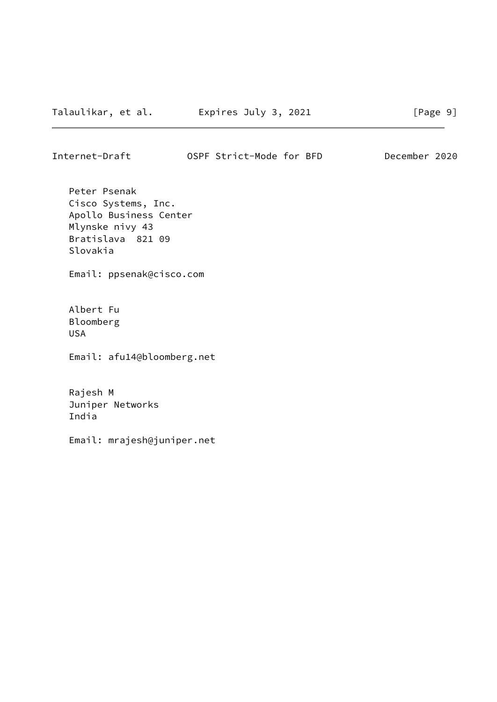Internet-Draft OSPF Strict-Mode for BFD December 2020

 Peter Psenak Cisco Systems, Inc. Apollo Business Center Mlynske nivy 43 Bratislava 821 09 Slovakia

Email: ppsenak@cisco.com

 Albert Fu Bloomberg USA

Email: afu14@bloomberg.net

 Rajesh M Juniper Networks India

Email: mrajesh@juniper.net